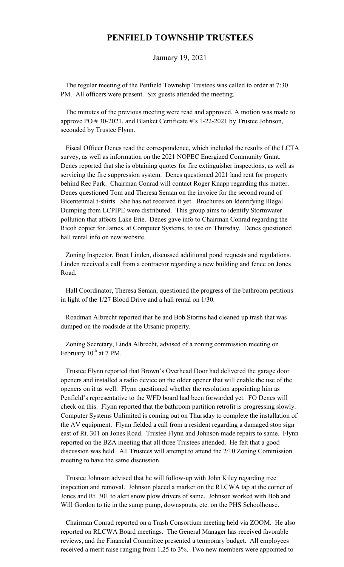## **PENFIELD TOWNSHIP TRUSTEES**

January 19, 2021

 The regular meeting of the Penfield Township Trustees was called to order at 7:30 PM. All officers were present. Six guests attended the meeting.

 The minutes of the previous meeting were read and approved. A motion was made to approve PO # 30-2021, and Blanket Certificate #'s 1-22-2021 by Trustee Johnson, seconded by Trustee Flynn.

 Fiscal Officer Denes read the correspondence, which included the results of the LCTA survey, as well as information on the 2021 NOPEC Energized Community Grant. Denes reported that she is obtaining quotes for fire extinguisher inspections, as well as servicing the fire suppression system. Denes questioned 2021 land rent for property behind Rec Park. Chairman Conrad will contact Roger Knapp regarding this matter. Denes questioned Tom and Theresa Seman on the invoice for the second round of Bicentennial t-shirts. She has not received it yet. Brochures on Identifying Illegal Dumping from LCPIPE were distributed. This group aims to identify Stormwater pollution that affects Lake Erie. Denes gave info to Chairman Conrad regarding the Ricoh copier for James, at Computer Systems, to use on Thursday. Denes questioned hall rental info on new website.

 Zoning Inspector, Brett Linden, discussed additional pond requests and regulations. Linden received a call from a contractor regarding a new building and fence on Jones Road.

 Hall Coordinator, Theresa Seman, questioned the progress of the bathroom petitions in light of the 1/27 Blood Drive and a hall rental on 1/30.

 Roadman Albrecht reported that he and Bob Storms had cleaned up trash that was dumped on the roadside at the Ursanic property.

 Zoning Secretary, Linda Albrecht, advised of a zoning commission meeting on February  $10^{th}$  at 7 PM.

 Trustee Flynn reported that Brown's Overhead Door had delivered the garage door openers and installed a radio device on the older opener that will enable the use of the openers on it as well. Flynn questioned whether the resolution appointing him as Penfield's representative to the WFD board had been forwarded yet. FO Denes will check on this. Flynn reported that the bathroom partition retrofit is progressing slowly. Computer Systems Unlimited is coming out on Thursday to complete the installation of the AV equipment. Flynn fielded a call from a resident regarding a damaged stop sign east of Rt. 301 on Jones Road. Trustee Flynn and Johnson made repairs to same. Flynn reported on the BZA meeting that all three Trustees attended. He felt that a good discussion was held. All Trustees will attempt to attend the 2/10 Zoning Commission meeting to have the same discussion.

 Trustee Johnson advised that he will follow-up with John Kiley regarding tree inspection and removal. Johnson placed a marker on the RLCWA tap at the corner of Jones and Rt. 301 to alert snow plow drivers of same. Johnson worked with Bob and Will Gordon to tie in the sump pump, downspouts, etc. on the PHS Schoolhouse.

 Chairman Conrad reported on a Trash Consortium meeting held via ZOOM. He also reported on RLCWA Board meetings. The General Manager has received favorable reviews, and the Financial Committee presented a temporary budget. All employees received a merit raise ranging from 1.25 to 3%. Two new members were appointed to